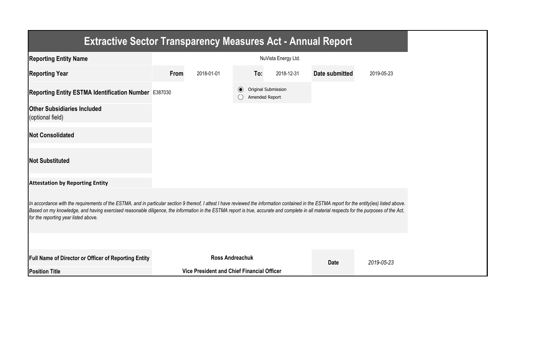| <b>Extractive Sector Transparency Measures Act - Annual Report</b>                                                                                                                                                                                                                                                                                                                                                                    |      |                                            |         |                                       |                |            |
|---------------------------------------------------------------------------------------------------------------------------------------------------------------------------------------------------------------------------------------------------------------------------------------------------------------------------------------------------------------------------------------------------------------------------------------|------|--------------------------------------------|---------|---------------------------------------|----------------|------------|
| <b>Reporting Entity Name</b>                                                                                                                                                                                                                                                                                                                                                                                                          |      |                                            |         | NuVista Energy Ltd.                   |                |            |
| <b>Reporting Year</b>                                                                                                                                                                                                                                                                                                                                                                                                                 | From | 2018-01-01                                 | To:     | 2018-12-31                            | Date submitted | 2019-05-23 |
| Reporting Entity ESTMA Identification Number E387030                                                                                                                                                                                                                                                                                                                                                                                  |      |                                            | $\odot$ | Original Submission<br>Amended Report |                |            |
| <b>Other Subsidiaries Included</b><br>(optional field)                                                                                                                                                                                                                                                                                                                                                                                |      |                                            |         |                                       |                |            |
| <b>Not Consolidated</b>                                                                                                                                                                                                                                                                                                                                                                                                               |      |                                            |         |                                       |                |            |
| <b>Not Substituted</b>                                                                                                                                                                                                                                                                                                                                                                                                                |      |                                            |         |                                       |                |            |
| <b>Attestation by Reporting Entity</b>                                                                                                                                                                                                                                                                                                                                                                                                |      |                                            |         |                                       |                |            |
| In accordance with the requirements of the ESTMA, and in particular section 9 thereof, I attest I have reviewed the information contained in the ESTMA report for the entity(ies) listed above.<br>Based on my knowledge, and having exercised reasonable diligence, the information in the ESTMA report is true, accurate and complete in all material respects for the purposes of the Act,<br>for the reporting year listed above. |      |                                            |         |                                       |                |            |
|                                                                                                                                                                                                                                                                                                                                                                                                                                       |      |                                            |         |                                       |                |            |
| Full Name of Director or Officer of Reporting Entity                                                                                                                                                                                                                                                                                                                                                                                  |      | <b>Ross Andreachuk</b>                     |         |                                       | <b>Date</b>    | 2019-05-23 |
| <b>Position Title</b>                                                                                                                                                                                                                                                                                                                                                                                                                 |      | Vice President and Chief Financial Officer |         |                                       |                |            |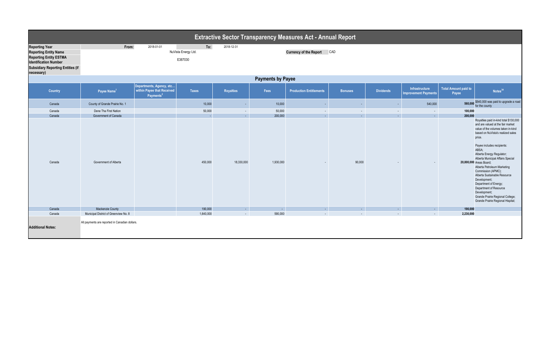|                                                                                                                                                                                  | <b>Extractive Sector Transparency Measures Act - Annual Report</b>         |                                                                                 |           |                  |           |                                |                     |                              |                                               |                                      |                                                                                                                                                                                                                                                                                                                                                                                                                                                                                                                                                       |  |
|----------------------------------------------------------------------------------------------------------------------------------------------------------------------------------|----------------------------------------------------------------------------|---------------------------------------------------------------------------------|-----------|------------------|-----------|--------------------------------|---------------------|------------------------------|-----------------------------------------------|--------------------------------------|-------------------------------------------------------------------------------------------------------------------------------------------------------------------------------------------------------------------------------------------------------------------------------------------------------------------------------------------------------------------------------------------------------------------------------------------------------------------------------------------------------------------------------------------------------|--|
| <b>Reporting Year</b><br><b>Reporting Entity Name</b><br><b>Reporting Entity ESTMA</b><br><b>Identification Number</b><br><b>Subsidiary Reporting Entities (if</b><br>necessary) | To:<br>From:<br>2018-01-01<br>2018-12-31<br>NuVista Energy Ltd.<br>E387030 |                                                                                 |           |                  |           | <b>Currency of the Report</b>  | CAD                 |                              |                                               |                                      |                                                                                                                                                                                                                                                                                                                                                                                                                                                                                                                                                       |  |
| <b>Payments by Payee</b>                                                                                                                                                         |                                                                            |                                                                                 |           |                  |           |                                |                     |                              |                                               |                                      |                                                                                                                                                                                                                                                                                                                                                                                                                                                                                                                                                       |  |
| <b>Country</b>                                                                                                                                                                   | Payee Name <sup>1</sup>                                                    | Departments, Agency, etc<br>within Payee that Received<br>Payments <sup>2</sup> | Taxes     | <b>Royalties</b> | Fees      | <b>Production Entitlements</b> | <b>Bonuses</b>      | <b>Dividends</b>             | Infrastructure<br><b>Improvement Payments</b> | <b>Total Amount paid to</b><br>Payee | Notes <sup>34</sup>                                                                                                                                                                                                                                                                                                                                                                                                                                                                                                                                   |  |
| Canada                                                                                                                                                                           | County of Grande Prairie No. 1                                             |                                                                                 | 10,000    |                  | 10,000    |                                | ٠                   | ٠                            | 540,000                                       | 560,000                              | \$540,000 was paid to upgrade a road<br>for the county                                                                                                                                                                                                                                                                                                                                                                                                                                                                                                |  |
| Canada                                                                                                                                                                           | Dene Tha First Nation                                                      |                                                                                 | 50,000    | $\sim$           | 50,000    | $\sim$                         | $\bar{\phantom{a}}$ | $\sim$                       | $\sim$                                        | 100,000                              |                                                                                                                                                                                                                                                                                                                                                                                                                                                                                                                                                       |  |
| Canada                                                                                                                                                                           | Government of Canada                                                       |                                                                                 | - 1       | $\sim$           | 200,000   | Γ,                             | ×.                  | $\mathcal{L}^{\mathcal{A}}$  | $\sim$                                        | 200,000                              |                                                                                                                                                                                                                                                                                                                                                                                                                                                                                                                                                       |  |
| Canada                                                                                                                                                                           | Government of Alberta                                                      |                                                                                 | 450,000   | 18,330,000       | 1,930,000 |                                | 90,000              |                              |                                               |                                      | Royalties paid in-kind total \$130,000<br>and are valued at the fair market<br>value of the volumes taken in-kind<br>based on NuVista's realized sales<br>price.<br>Payee includes recipients:<br>ABSA;<br>Alberta Energy Regulator;<br>Alberta Municipal Affairs Special<br>20,800,000 Areas Board;<br>Alberta Petroleum Marketing<br>Commission (APMC);<br>Alberta Sustainable Resource<br>Development;<br>Department of Energy;<br>Department of Resource<br>Development;<br>Grande Prairie Regional College;<br>Grande Prairie Regional Hispital; |  |
| Canada                                                                                                                                                                           | Mackenzie County                                                           |                                                                                 | 190,000   | $\sim$           | $\sim$    | $\sim$                         | $\sim$              | $\mathcal{L}_{\mathrm{eff}}$ | $\sim$                                        | 190,000                              |                                                                                                                                                                                                                                                                                                                                                                                                                                                                                                                                                       |  |
| Canada                                                                                                                                                                           | Municipal District of Greenview No. 8                                      |                                                                                 | 1,640,000 | $\sim$           | 590,000   | ÷.                             |                     | ÷.                           | $\sim$                                        | 2,230,000                            |                                                                                                                                                                                                                                                                                                                                                                                                                                                                                                                                                       |  |
| <b>Additional Notes:</b>                                                                                                                                                         | All payments are reported in Canadian dollars.                             |                                                                                 |           |                  |           |                                |                     |                              |                                               |                                      |                                                                                                                                                                                                                                                                                                                                                                                                                                                                                                                                                       |  |